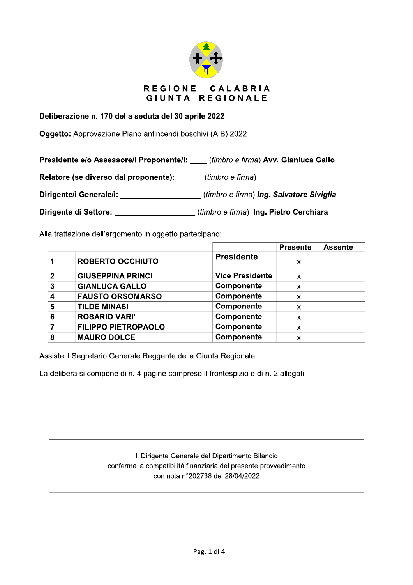

## Deliberazione n. 170 della seduta del 30 aprile 2022

Oggetto: Approvazione Piano antincendi boschivi (AIB) 2022

Presidente e/o Assessore/i Proponente/i: \_\_\_\_ (timbro e firma) Avv. Gianluca Gallo

Relatore (se diverso dal proponente): \_\_\_\_\_\_ (timbro e firma) \_\_\_\_\_\_\_\_\_\_\_\_\_\_\_\_\_\_

Dirigente/i Generale/i: \_\_\_\_\_\_\_\_\_\_\_\_\_\_\_\_\_\_\_(timbro e firma) Ing. Salvatore Siviglia

Dirigente di Settore: (timbro e firma) Ing. Pietro Cerchiara

Alla trattazione dell'argomento in oggetto partecipano:

|              |                            |                        | <b>Presente</b> | <b>Assente</b> |
|--------------|----------------------------|------------------------|-----------------|----------------|
|              | <b>ROBERTO OCCHIUTO</b>    | <b>Presidente</b>      | X               |                |
| $\mathbf{c}$ | <b>GIUSEPPINA PRINCI</b>   | <b>Vice Presidente</b> | X               |                |
| 3            | <b>GIANLUCA GALLO</b>      | Componente             | X               |                |
|              | <b>FAUSTO ORSOMARSO</b>    | Componente             | X               |                |
| 5            | <b>TILDE MINASI</b>        | Componente             | x               |                |
| 6            | <b>ROSARIO VARI'</b>       | Componente             | X               |                |
|              | <b>FILIPPO PIETROPAOLO</b> | Componente             | X               |                |
| 8            | <b>MAURO DOLCE</b>         | Componente             | x               |                |

Assiste il Segretario Generale Reggente della Giunta Regionale.

La delibera si compone di n. 4 pagine compreso il frontespizio e di n. 2 allegati.

Il Dirigente Generale del Dipartimento Bilancio conferma la compatibilità finanziaria del presente provvedimento con nota n°202738 del 28/04/2022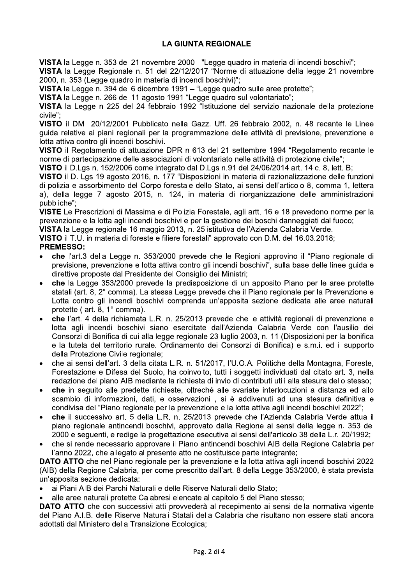# **LA GIUNTA REGIONALE**

VISTA la Legge n. 353 del 21 novembre 2000 - "Legge guadro in materia di incendi boschivi";

VISTA la Legge Regionale n. 51 del 22/12/2017 "Norme di attuazione della legge 21 novembre 2000, n. 353 (Legge quadro in materia di incendi boschivi)";

VISTA la Legge n. 394 del 6 dicembre 1991 – "Legge guadro sulle aree protette":

VISTA la Legge n. 266 del 11 agosto 1991 "Legge quadro sul volontariato";

VISTA la Legge n 225 del 24 febbraio 1992 "Istituzione del servizio nazionale della protezione civile":

VISTO il DM 20/12/2001 Pubblicato nella Gazz. Uff. 26 febbraio 2002, n. 48 recante le Linee guida relative ai piani regionali per la programmazione delle attività di previsione, prevenzione e lotta attiva contro gli incendi boschivi.

VISTO il Regolamento di attuazione DPR n 613 del 21 settembre 1994 "Regolamento recante le norme di partecipazione delle associazioni di volontariato nelle attività di protezione civile";

VISTO il D.Lgs n. 152/2006 come integrato dal D.Lgs n.91 del 24/06/2014 art. 14 c. 8, lett. B;

VISTO il D. Lgs 19 agosto 2016, n. 177 "Disposizioni in materia di razionalizzazione delle funzioni di polizia e assorbimento del Corpo forestale dello Stato, ai sensi dell'articolo 8, comma 1, lettera a), della legge 7 agosto 2015, n. 124, in materia di riorganizzazione delle amministrazioni pubbliche":

VISTE Le Prescrizioni di Massima e di Polizia Forestale, agli artt. 16 e 18 prevedono norme per la prevenzione e la lotta agli incendi boschivi e per la gestione dei boschi danneggiati dal fuoco:

VISTA la Legge regionale 16 maggio 2013, n. 25 istitutiva dell'Azienda Calabria Verde.

VISTO il T.U. in materia di foreste e filiere forestali" approvato con D.M. del 16.03.2018;

## **PREMESSO:**

- che l'art.3 della Legge n. 353/2000 prevede che le Regioni approvino il "Piano regionale di previsione, prevenzione e lotta attiva contro gli incendi boschivi", sulla base delle linee guida e direttive proposte dal Presidente del Consiglio dei Ministri;
- che la Legge 353/2000 prevede la predisposizione di un apposito Piano per le aree protette statali (art. 8, 2° comma). La stessa Legge prevede che il Piano regionale per la Prevenzione e Lotta contro gli incendi boschivi comprenda un'apposita sezione dedicata alle aree naturali protette ( $art. 8, 1^{\circ}$  comma).
- che l'art. 4 della richiamata L.R. n. 25/2013 prevede che le attività regionali di prevenzione e lotta agli incendi boschivi siano esercitate dall'Azienda Calabria Verde con l'ausilio dei Consorzi di Bonifica di cui alla legge regionale 23 luglio 2003, n. 11 (Disposizioni per la bonifica e la tutela del territorio rurale. Ordinamento dei Consorzi di Bonifica) e s.m.i. ed il supporto della Protezione Civile regionale:
- che ai sensi dell'art. 3 della citata L.R. n. 51/2017, l'U.O.A. Politiche della Montagna, Foreste, Forestazione e Difesa del Suolo, ha coinvolto, tutti i soggetti individuati dal citato art. 3, nella redazione del piano AIB mediante la richiesta di invio di contributi utili alla stesura dello stesso;
- che in seguito alle predette richieste, oltreché alle svariate interlocuzioni a distanza ed allo scambio di informazioni, dati, e osservazioni, si è addivenuti ad una stesura definitiva e condivisa del "Piano regionale per la prevenzione e la lotta attiva agli incendi boschivi 2022";
- che il successivo art. 5 della L.R. n. 25/2013 prevede che l'Azienda Calabria Verde attua il piano regionale antincendi boschivi, approvato dalla Regione ai sensi della legge n. 353 del 2000 e seguenti, e redige la progettazione esecutiva ai sensi dell'articolo 38 della L.r. 20/1992;
- che si rende necessario approvare il Piano antincendi boschivi AIB della Regione Calabria per l'anno 2022, che allegato al presente atto ne costituisce parte integrante;

DATO ATTO che nel Piano regionale per la prevenzione e la lotta attiva agli incendi boschivi 2022 (AIB) della Regione Calabria, per come prescritto dall'art. 8 della Legge 353/2000, è stata prevista un'apposita sezione dedicata:

ai Piani AIB dei Parchi Naturali e delle Riserve Naturali dello Stato;

alle aree naturali protette Calabresi elencate al capitolo 5 del Piano stesso:

DATO ATTO che con successivi atti provvederà al recepimento ai sensi della normativa vigente del Piano A.I.B. delle Riserve Naturali Statali della Calabria che risultano non essere stati ancora adottati dal Ministero della Transizione Ecologica;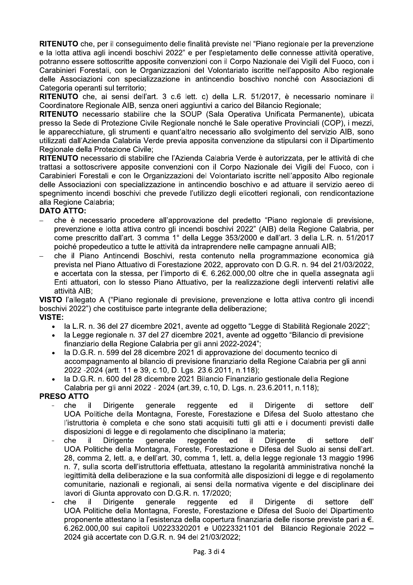RITENUTO che, per il consequimento delle finalità previste nel "Piano regionale per la prevenzione e la lotta attiva agli incendi boschivi 2022" e per l'espletamento delle connesse attività operative. potranno essere sottoscritte apposite convenzioni con il Corpo Nazionale dei Vigili del Fuoco, con i Carabinieri Forestali, con le Organizzazioni del Volontariato iscritte nell'apposito Albo regionale delle Associazioni con specializzazione in antincendio boschivo nonché con Associazioni di Categoria operanti sul territorio;

RITENUTO che, ai sensi dell'art. 3 c.6 lett. c) della L.R. 51/2017, è necessario nominare il Coordinatore Regionale AIB, senza oneri aggiuntivi a carico del Bilancio Regionale:

RITENUTO necessario stabilire che la SOUP (Sala Operativa Unificata Permanente), ubicata presso la Sede di Protezione Civile Regionale nonché le Sale operative Provinciali (COP), i mezzi, le apparecchiature, gli strumenti e quant'altro necessario allo svolgimento del servizio AIB, sono utilizzati dall'Azienda Calabria Verde previa apposita convenzione da stipularsi con il Dipartimento Regionale della Protezione Civile:

RITENUTO necessario di stabilire che l'Azienda Calabria Verde è autorizzata, per le attività di che trattasi a sottoscrivere apposite convenzioni con il Corpo Nazionale dei Vigili del Fuoco, con i Carabinieri Forestali e con le Organizzazioni del Volontariato iscritte nell'apposito Albo regionale delle Associazioni con specializzazione in antincendio boschivo e ad attuare il servizio aereo di spegnimento incendi boschivi che prevede l'utilizzo degli elicotteri regionali, con rendicontazione alla Regione Calabria:

### **DATO ATTO:**

- che è necessario procedere all'approvazione del predetto "Piano regionale di previsione. prevenzione e lotta attiva contro gli incendi boschivi 2022" (AIB) della Regione Calabria, per come prescritto dall'art. 3 comma 1° della Legge 353/2000 e dall'art. 3 della L.R. n. 51/2017 poiché propedeutico a tutte le attività da intraprendere nelle campagne annuali AIB;
- che il Piano Antincendi Boschivi, resta contenuto nella programmazione economica già prevista nel Piano Attuativo di Forestazione 2022, approvato con D.G.R. n. 94 del 21/03/2022, e accertata con la stessa, per l'importo di €. 6.262.000,00 oltre che in quella assegnata agli Enti attuatori, con lo stesso Piano Attuativo, per la realizzazione degli interventi relativi alle attività AIB:

VISTO l'allegato A ("Piano regionale di previsione, prevenzione e lotta attiva contro gli incendi boschivi 2022") che costituisce parte integrante della deliberazione: **VISTE:** 

- la L.R. n. 36 del 27 dicembre 2021, avente ad oggetto "Legge di Stabilità Regionale 2022";
- la Legge regionale n. 37 del 27 dicembre 2021, avente ad oggetto "Bilancio di previsione" finanziario della Regione Calabria per gli anni 2022-2024";
- la D.G.R. n. 599 del 28 dicembre 2021 di approvazione del documento tecnico di accompagnamento al bilancio di previsione finanziario della Regione Calabria per gli anni 2022 - 2024 (artt. 11 e 39, c.10, D. Lgs. 23.6.2011, n.118);
- la D.G.R. n. 600 del 28 dicembre 2021 Bilancio Finanziario gestionale della Regione Calabria per gli anni 2022 - 2024 (art.39, c.10, D. Lgs. n. 23.6.2011, n.118);

### **PRESO ATTO**

- che il. Dirigente generale reggente ed il Dirigente di settore dell' UOA Politiche della Montagna, Foreste, Forestazione e Difesa del Suolo attestano che l'istruttoria è completa e che sono stati acquisiti tutti gli atti e i documenti previsti dalle disposizioni di legge e di regolamento che disciplinano la materia;
- che il **Dirigente** generale reggente ed il **Dirigente** di settore dell' UOA Politiche della Montagna, Foreste, Forestazione e Difesa del Suolo ai sensi dell'art. 28, comma 2, lett. a, e dell'art. 30, comma 1, lett. a, della legge regionale 13 maggio 1996 n. 7, sulla scorta dell'istruttoria effettuata, attestano la regolarità amministrativa nonché la legittimità della deliberazione e la sua conformità alle disposizioni di legge e di regolamento comunitarie, nazionali e regionali, ai sensi della normativa vigente e del disciplinare dei lavori di Giunta approvato con D.G.R. n. 17/2020:
- che il **Dirigente** qenerale reggente ed il. **Dirigente** di settore dell' UOA Politiche della Montagna, Foreste, Forestazione e Difesa del Suolo del Dipartimento proponente attestano la l'esistenza della copertura finanziaria delle risorse previste pari a €. 6.262.000.00 sui capitoli U0223320201 e U0223321101 del Bilancio Regionale 2022 -2024 già accertate con D.G.R. n. 94 del 21/03/2022;